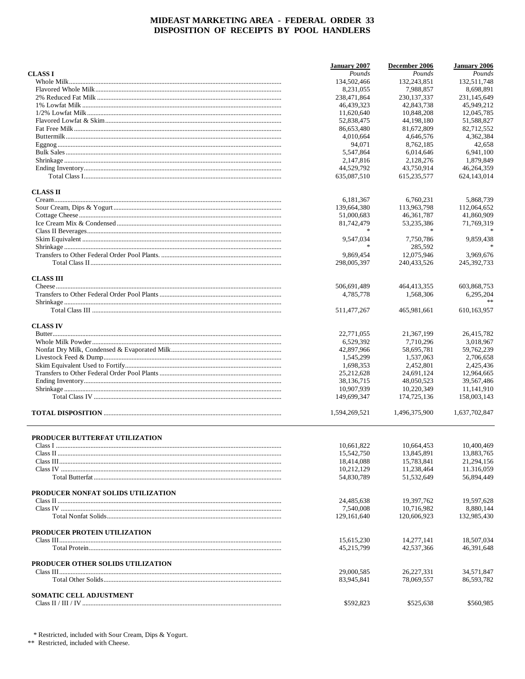|                                    | <b>January 2007</b>        | December 2006 | <b>January 2006</b> |
|------------------------------------|----------------------------|---------------|---------------------|
| <b>CLASS I</b>                     | Pounds                     | Pounds        | Pounds              |
|                                    | 134,502,466                | 132, 243, 851 | 132,511,748         |
|                                    | 8,231,055                  | 7,988,857     | 8,698,891           |
|                                    | 238,471,864                | 230, 137, 337 | 231,145,649         |
|                                    | 46,439,323                 | 42,843,738    | 45,949,212          |
|                                    | 11,620,640                 | 10,848,208    | 12,045,785          |
|                                    | 52,838,475                 | 44,198,180    | 51,588,827          |
|                                    | 86,653,480                 | 81,672,809    | 82,712,552          |
|                                    | 4,010,664                  | 4,646,576     | 4,362,384           |
|                                    | 94,071                     | 8,762,185     | 42,658              |
|                                    | 5.547.864                  | 6,014,646     | 6,941,100           |
|                                    | 2,147,816                  | 2,128,276     | 1,879,849           |
|                                    | 44,529,792                 | 43,750,914    | 46,264,359          |
|                                    | 635,087,510                | 615,235,577   | 624,143,014         |
| <b>CLASS II</b>                    |                            |               |                     |
|                                    | 6,181,367                  | 6,760,231     | 5,868,739           |
|                                    | 139,664,380                | 113,963,798   | 112,064,652         |
|                                    | 51,000,683                 | 46, 361, 787  | 41,860,909          |
|                                    | 81,742,479                 | 53,235,386    | 71,769,319          |
|                                    |                            |               |                     |
|                                    |                            |               |                     |
|                                    | 9,547,034<br>$\frac{1}{2}$ | 7,750,786     | 9,859,438           |
|                                    |                            | 285,592       |                     |
|                                    | 9,869,454                  | 12,075,946    | 3,969,676           |
|                                    | 298,005,397                | 240,433,526   | 245, 392, 733       |
| <b>CLASS III</b>                   |                            |               |                     |
|                                    | 506,691,489                | 464,413,355   | 603,868,753         |
|                                    | 4,785,778                  | 1,568,306     | 6,295,204           |
|                                    | 511,477,267                | 465,981,661   | 610,163,957         |
| <b>CLASS IV</b>                    |                            |               |                     |
|                                    | 22,771,055                 | 21,367,199    | 26,415,782          |
|                                    | 6,529,392                  | 7,710,296     | 3,018,967           |
|                                    | 42,897,966                 | 58,695,781    | 59,762,239          |
|                                    | 1,545,299                  | 1,537,063     | 2,706,658           |
|                                    | 1,698,353                  | 2,452,801     | 2,425,436           |
|                                    | 25,212,628                 | 24,691,124    | 12,964,665          |
|                                    | 38,136,715                 | 48,050,523    | 39,567,486          |
|                                    | 10,907,939                 | 10,220,349    | 11,141,910          |
|                                    | 149,699,347                | 174,725,136   | 158,003,143         |
|                                    |                            |               |                     |
|                                    | 1,594,269,521              | 1,496,375,900 | 1,637,702,847       |
| PRODUCER BUTTERFAT UTILIZATION     |                            |               |                     |
|                                    | 10,661,822                 | 10,664,453    | 10,400,469          |
|                                    |                            |               |                     |
|                                    | 15,542,750                 | 13,845,891    | 13,883,765          |
|                                    | 18,414,088                 | 15,783,841    | 21,294,156          |
|                                    | 10,212,129                 | 11,238,464    | 11.316,059          |
|                                    | 54,830,789                 | 51,532,649    | 56,894,449          |
| PRODUCER NONFAT SOLIDS UTILIZATION |                            |               |                     |
|                                    | 24,485,638                 | 19,397,762    | 19,597,628          |
|                                    | 7.540.008                  | 10,716,982    | 8,880,144           |
|                                    | 129, 161, 640              | 120,606,923   | 132,985,430         |
| PRODUCER PROTEIN UTILIZATION       |                            |               |                     |
|                                    | 15,615,230                 | 14,277,141    | 18,507,034          |
|                                    | 45,215,799                 | 42,537,366    | 46,391,648          |
|                                    |                            |               |                     |
| PRODUCER OTHER SOLIDS UTILIZATION  | 29,000,585                 | 26,227,331    | 34,571,847          |
|                                    | 83,945,841                 | 78,069,557    | 86,593,782          |
| SOMATIC CELL ADJUSTMENT            |                            |               |                     |
|                                    | \$592,823                  | \$525,638     | \$560,985           |
|                                    |                            |               |                     |

 $^{\ast}$  Restricted, included with Sour Cream, Dips & Yogurt.  $^{**}$  Restricted, included with Cheese.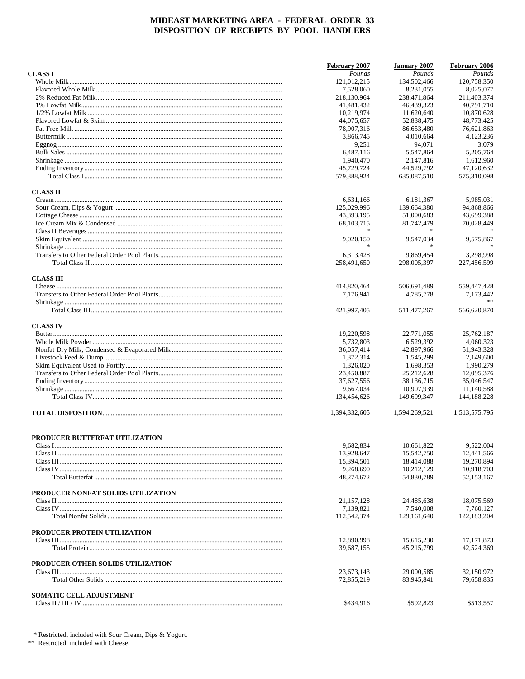|                                    | <b>February 2007</b>     | <b>January 2007</b>      | February 2006            |
|------------------------------------|--------------------------|--------------------------|--------------------------|
| <b>CLASS I</b>                     | Pounds                   | Pounds                   | Pounds                   |
|                                    | 121,012,215              | 134,502,466              | 120,758,350              |
|                                    | 7,528,060                | 8,231,055                | 8,025,077                |
|                                    | 218,130,964              | 238,471,864              | 211,403,374              |
|                                    | 41,481,432               | 46,439,323               | 40,791,710               |
|                                    | 10,219,974               | 11,620,640               | 10,870,628               |
|                                    | 44,075,657               | 52,838,475               | 48,773,425               |
|                                    | 78,907,316               | 86,653,480               | 76,621,863               |
|                                    | 3,866,745                | 4,010,664                | 4,123,236                |
|                                    | 9,251                    | 94,071                   | 3,079                    |
|                                    | 6,487,116                | 5,547,864                | 5,205,764                |
|                                    | 1.940.470                | 2,147,816                | 1,612,960                |
|                                    | 45,729,724               | 44,529,792               | 47,120,632               |
|                                    | 579,388,924              | 635,087,510              | 575,310,098              |
| <b>CLASS II</b>                    |                          |                          |                          |
|                                    | 6,631,166                | 6,181,367                | 5,985,031                |
|                                    | 125,029,996              | 139,664,380              | 94,868,866               |
|                                    | 43,393,195               | 51,000,683               | 43,699,388               |
|                                    | 68, 103, 715             | 81,742,479               | 70,028,449               |
|                                    |                          |                          |                          |
|                                    | 9,020,150                | 9.547.034                | 9,575,867                |
|                                    | $\ast$                   | $\frac{1}{2}$            |                          |
|                                    | 6,313,428                | 9,869,454                | 3,298,998                |
|                                    | 258,491,650              | 298,005,397              | 227,456,599              |
|                                    |                          |                          |                          |
| <b>CLASS III</b>                   |                          |                          |                          |
|                                    | 414,820,464              | 506,691,489              | 559,447,428              |
|                                    | 7,176,941                | 4,785,778                | 7,173,442                |
|                                    | 421,997,405              | 511,477,267              | 566,620,870              |
| <b>CLASS IV</b>                    |                          |                          |                          |
|                                    | 19,220,598               | 22,771,055               | 25,762,187               |
|                                    | 5,732,803                | 6,529,392                | 4,060,323                |
|                                    | 36,057,414               | 42,897,966               | 51,943,328               |
|                                    | 1,372,314                | 1,545,299                | 2,149,600                |
|                                    | 1,326,020                | 1,698,353                | 1,990,279                |
|                                    | 23,450,887               | 25,212,628               | 12,095,376               |
|                                    | 37,627,556               | 38,136,715               | 35,046,547               |
|                                    | 9,667,034                | 10,907,939               | 11,140,588               |
|                                    | 134,454,626              | 149,699,347              | 144, 188, 228            |
|                                    |                          |                          |                          |
|                                    | 1,394,332,605            | 1,594,269,521            | 1,513,575,795            |
|                                    |                          |                          |                          |
| PRODUCER BUTTERFAT UTILIZATION     | 9,682,834                | 10,661,822               | 9,522,004                |
|                                    | 13,928,647               | 15,542,750               | 12,441,566               |
|                                    | 15,394,501               | 18,414,088               | 19,270,894               |
|                                    | 9,268,690                | 10,212,129               | 10,918,703               |
|                                    | 48,274,672               | 54,830,789               | 52,153,167               |
|                                    |                          |                          |                          |
| PRODUCER NONFAT SOLIDS UTILIZATION |                          |                          |                          |
|                                    | 21, 157, 128             | 24,485,638               | 18,075,569               |
|                                    | 7,139,821                | 7,540,008                | 7,760,127                |
|                                    | 112,542,374              | 129, 161, 640            | 122, 183, 204            |
| PRODUCER PROTEIN UTILIZATION       |                          |                          |                          |
|                                    | 12,890,998               | 15,615,230               | 17, 171, 873             |
|                                    | 39,687,155               | 45,215,799               | 42,524,369               |
| PRODUCER OTHER SOLIDS UTILIZATION  |                          |                          |                          |
|                                    | 23,673,143<br>72,855,219 | 29,000,585<br>83,945,841 | 32,150,972<br>79,658,835 |
|                                    |                          |                          |                          |
| SOMATIC CELL ADJUSTMENT            |                          |                          |                          |
|                                    | \$434,916                | \$592,823                | \$513,557                |

 $^{\ast}$  Restricted, included with Sour Cream, Dips & Yogurt.  $^{**}$  Restricted, included with Cheese.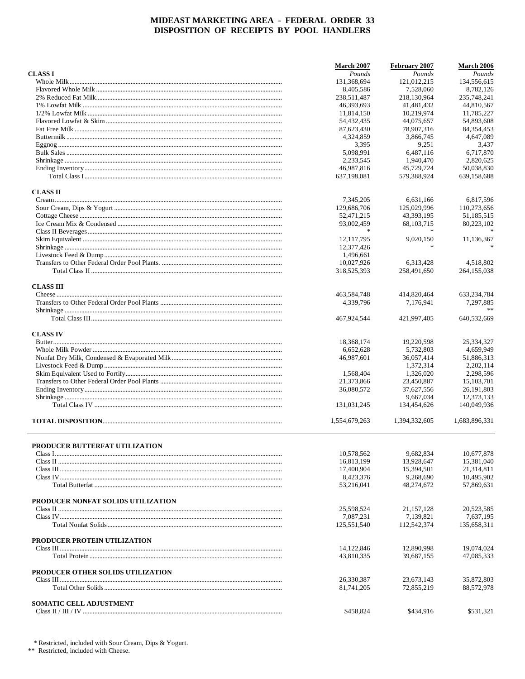|                                       | <b>March 2007</b> | February 2007  | <b>March 2006</b> |
|---------------------------------------|-------------------|----------------|-------------------|
| <b>CLASS I</b>                        | Pounds            | Pounds         | Pounds            |
|                                       | 131,368,694       | 121,012,215    | 134,556,615       |
|                                       | 8,405,586         | 7,528,060      | 8,782,126         |
|                                       | 238,511,487       | 218,130,964    | 235,748,241       |
|                                       | 46,393,693        | 41,481,432     | 44,810,567        |
|                                       | 11,814,150        | 10,219,974     | 11,785,227        |
|                                       |                   |                |                   |
|                                       | 54,432,435        | 44,075,657     | 54,893,608        |
|                                       | 87,623,430        | 78,907,316     | 84, 354, 453      |
|                                       | 4,324,859         | 3,866,745      | 4,647,089         |
|                                       | 3,395             | 9,251          | 3,437             |
|                                       | 5,098,991         | 6,487,116      | 6,717,870         |
|                                       | 2,233,545         | 1,940,470      | 2,820,625         |
|                                       | 46,987,816        | 45,729,724     | 50,038,830        |
|                                       | 637,198,081       | 579,388,924    | 639,158,688       |
| <b>CLASS II</b>                       |                   |                |                   |
|                                       | 7,345,205         | 6,631,166      | 6,817,596         |
|                                       | 129,686,706       | 125,029,996    | 110,273,656       |
|                                       | 52,471,215        | 43,393,195     | 51,185,515        |
|                                       | 93,002,459        | 68, 103, 715   | 80,223,102        |
|                                       |                   |                |                   |
|                                       |                   |                |                   |
|                                       | 12, 117, 795      | 9,020,150      | 11,136,367        |
|                                       | 12,377,426        | $\frac{1}{20}$ |                   |
|                                       | 1,496,661         |                |                   |
|                                       | 10,027,926        | 6,313,428      | 4,518,802         |
|                                       | 318,525,393       | 258,491,650    | 264, 155, 038     |
| <b>CLASS III</b>                      |                   |                |                   |
|                                       | 463,584,748       | 414,820,464    | 633,234,784       |
|                                       | 4,339,796         | 7,176,941      | 7.297.885         |
|                                       |                   |                |                   |
|                                       | 467,924,544       | 421,997,405    | 640,532,669       |
| <b>CLASS IV</b>                       |                   |                |                   |
|                                       |                   |                |                   |
|                                       | 18,368,174        | 19,220,598     | 25,334,327        |
|                                       | 6,652,628         | 5,732,803      | 4,659,949         |
|                                       | 46,987,601        | 36,057,414     | 51,886,313        |
|                                       |                   | 1,372,314      | 2,202,114         |
|                                       | 1,568,404         | 1,326,020      | 2,298,596         |
|                                       | 21,373,866        | 23,450,887     | 15,103,701        |
|                                       | 36,080,572        | 37,627,556     | 26, 191, 803      |
|                                       |                   | 9,667,034      | 12,373,133        |
|                                       | 131,031,245       | 134,454,626    | 140,049,936       |
|                                       | 1,554,679,263     | 1,394,332,605  | 1,683,896,331     |
|                                       |                   |                |                   |
| <b>PRODUCER BUTTERFAT UTILIZATION</b> |                   |                |                   |
|                                       | 10,578,562        | 9,682,834      | 10,677,878        |
|                                       | 16,813,199        | 13.928.647     | 15,381,040        |
|                                       |                   |                |                   |
|                                       | 17,400,904        | 15,394,501     | 21,314,811        |
|                                       | 8,423,376         | 9,268,690      | 10,495,902        |
|                                       | 53,216,041        | 48,274,672     | 57.869.631        |
| PRODUCER NONFAT SOLIDS UTILIZATION    |                   |                |                   |
|                                       | 25,598,524        | 21, 157, 128   | 20,523,585        |
|                                       | 7,087,231         | 7,139,821      | 7,637,195         |
|                                       | 125,551,540       | 112,542,374    | 135,658,311       |
| PRODUCER PROTEIN UTILIZATION          |                   |                |                   |
|                                       | 14,122,846        | 12,890,998     | 19,074,024        |
|                                       | 43,810,335        | 39,687,155     | 47,085,333        |
| PRODUCER OTHER SOLIDS UTILIZATION     |                   |                |                   |
|                                       | 26,330,387        | 23,673,143     | 35,872,803        |
|                                       | 81,741,205        | 72,855,219     | 88,572,978        |
| <b>SOMATIC CELL ADJUSTMENT</b>        |                   |                |                   |
|                                       | \$458,824         | \$434,916      | \$531,321         |
|                                       |                   |                |                   |

 $^{\ast}$  Restricted, included with Sour Cream, Dips & Yogurt.  $^{**}$  Restricted, included with Cheese.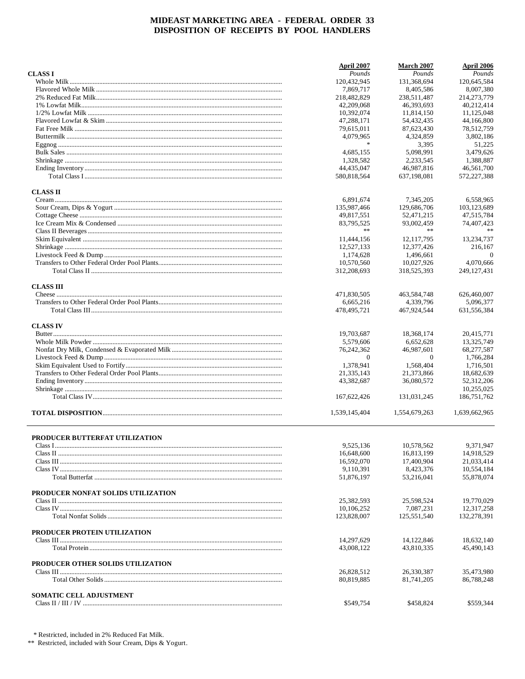|                                    | April 2007               | March 2007               | April 2006               |
|------------------------------------|--------------------------|--------------------------|--------------------------|
| <b>CLASS I</b>                     | Pounds                   | Pounds                   | Pounds                   |
|                                    | 120,432,945              | 131,368,694              | 120,645,584              |
|                                    | 7,869,717                | 8,405,586                | 8,007,380                |
|                                    | 218,482,829              | 238,511,487              | 214,273,779              |
|                                    | 42,209,068               | 46,393,693               | 40,212,414               |
|                                    | 10,392,074               | 11,814,150               | 11,125,048               |
|                                    | 47,288,171               | 54,432,435               | 44,166,800               |
|                                    | 79,615,011               | 87,623,430               | 78,512,759               |
|                                    | 4,079,965                | 4,324,859                | 3,802,186                |
|                                    | $\ast$                   | 3,395                    | 51,225                   |
|                                    | 4,685,155                | 5,098,991                | 3.479.626                |
|                                    | 1,328,582                | 2,233,545                | 1,388,887                |
|                                    | 44,435,047               | 46,987,816               | 46,561,700               |
|                                    | 580,818,564              | 637,198,081              | 572,227,388              |
| <b>CLASS II</b>                    |                          |                          |                          |
|                                    | 6,891,674                | 7,345,205                | 6,558,965                |
|                                    | 135,987,466              | 129,686,706              | 103,123,689              |
|                                    | 49,817,551               | 52,471,215               | 47,515,784               |
|                                    | 83,795,525               | 93,002,459               | 74,407,423               |
|                                    | **                       | **                       |                          |
|                                    | 11,444,156               | 12, 117, 795             | 13,234,737               |
|                                    | 12,527,133               | 12,377,426               | 216,167                  |
|                                    | 1,174,628                | 1,496,661                | $\overline{0}$           |
|                                    | 10,570,560               | 10,027,926               | 4,070,666                |
|                                    | 312,208,693              | 318,525,393              | 249, 127, 431            |
|                                    |                          |                          |                          |
| <b>CLASS III</b>                   |                          |                          | 626,460,007              |
|                                    | 471,830,505              | 463,584,748              |                          |
|                                    | 6,665,216<br>478,495,721 | 4,339,796<br>467,924,544 | 5,096,377<br>631,556,384 |
| <b>CLASS IV</b>                    |                          |                          |                          |
|                                    | 19,703,687               | 18,368,174               | 20,415,771               |
|                                    | 5,579,606                | 6,652,628                | 13,325,749               |
|                                    | 76,242,362               | 46,987,601               | 68,277,587               |
|                                    | $\mathbf{0}$             | $\theta$                 | 1,766,284                |
|                                    | 1,378,941                | 1,568,404                | 1,716,501                |
|                                    | 21,335,143               | 21,373,866               | 18,682,639               |
|                                    | 43,382,687               | 36,080,572               | 52,312,206               |
|                                    |                          |                          | 10,255,025               |
|                                    | 167, 622, 426            | 131,031,245              | 186,751,762              |
|                                    | 1,539,145,404            | 1,554,679,263            | 1,639,662,965            |
|                                    |                          |                          |                          |
| PRODUCER BUTTERFAT UTILIZATION     |                          |                          |                          |
|                                    | 9,525,136                | 10,578,562               | 9,371,947                |
|                                    | 16,648,600               | 16,813,199               | 14,918,529               |
|                                    | 16,592,070               | 17,400,904               | 21.033.414               |
|                                    | 9,110,391                | 8,423,376                | 10,554,184               |
|                                    | 51,876,197               | 53,216,041               | 55,878,074               |
| PRODUCER NONFAT SOLIDS UTILIZATION |                          |                          |                          |
|                                    |                          |                          |                          |
|                                    | 25,382,593               | 25,598,524               | 19,770,029               |
|                                    | 10,106,252               | 7,087,231                | 12,317,258               |
|                                    | 123,828,007              | 125,551,540              | 132,278,391              |
| PRODUCER PROTEIN UTILIZATION       |                          |                          |                          |
|                                    | 14,297,629               | 14,122,846               | 18,632,140               |
|                                    | 43,008,122               | 43,810,335               | 45,490,143               |
| PRODUCER OTHER SOLIDS UTILIZATION  |                          |                          |                          |
|                                    | 26,828,512               | 26,330,387               | 35,473,980               |
|                                    | 80,819,885               | 81,741,205               | 86,788,248               |
| SOMATIC CELL ADJUSTMENT            |                          |                          |                          |
|                                    | \$549,754                | \$458,824                | \$559,344                |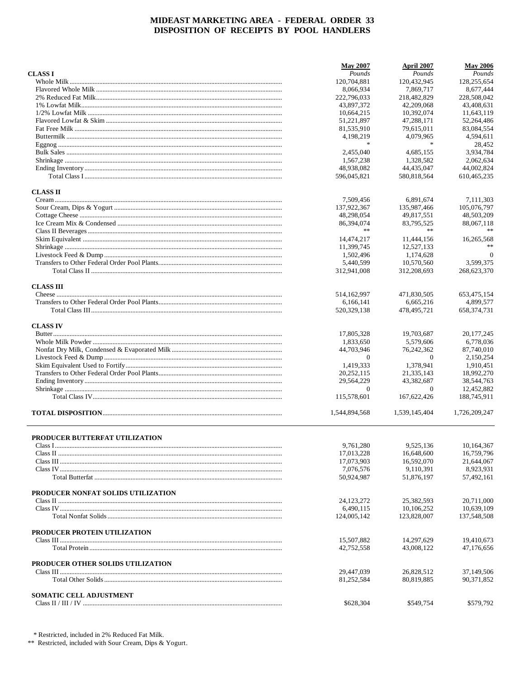|                                    | <b>May 2007</b>          | April 2007               | <b>May 2006</b>             |
|------------------------------------|--------------------------|--------------------------|-----------------------------|
| <b>CLASS I</b>                     | Pounds                   | Pounds                   | Pounds                      |
|                                    | 120,704,881              | 120,432,945              | 128,255,654                 |
|                                    | 8,066,934                | 7,869,717                | 8,677,444                   |
|                                    | 222,796,033              | 218,482,829              | 228,508,042                 |
|                                    | 43.897.372               | 42,209,068               | 43,408,631                  |
|                                    | 10,664,215               | 10,392,074               | 11,643,119                  |
|                                    | 51,221,897               | 47,288,171               | 52,264,486                  |
|                                    | 81,535,910               | 79,615,011               | 83,084,554                  |
|                                    | 4,198,219                | 4,079,965                | 4,594,611                   |
|                                    | $\frac{1}{2}$            | $\ast$                   | 28.452                      |
|                                    | 2.455,040                | 4,685,155                | 3,934,784                   |
|                                    | 1,567,238                | 1,328,582                | 2,062,634                   |
|                                    | 48,938,082               | 44,435,047               | 44,002,824                  |
|                                    | 596,045,821              | 580,818,564              | 610,465,235                 |
| <b>CLASS II</b>                    |                          |                          |                             |
|                                    | 7,509,456                | 6,891,674                | 7,111,303                   |
|                                    | 137,922,367              | 135,987,466              | 105,076,797                 |
|                                    | 48,298,054               | 49,817,551               | 48,503,209                  |
|                                    | 86,394,074<br>**         | 83,795,525<br>$\ast$     | 88,067,118                  |
|                                    |                          |                          |                             |
|                                    | 14,474,217               | 11,444,156               | 16,265,568<br>**            |
|                                    | 11,399,745               | 12,527,133               |                             |
|                                    | 1,502,496<br>5,440,599   | 1,174,628<br>10,570,560  | $\overline{0}$<br>3,599,375 |
|                                    | 312,941,008              | 312,208,693              | 268,623,370                 |
|                                    |                          |                          |                             |
| <b>CLASS III</b>                   |                          |                          |                             |
|                                    | 514, 162, 997            | 471,830,505              | 653,475,154                 |
|                                    | 6,166,141<br>520,329,138 | 6,665,216<br>478,495,721 | 4,899,577<br>658, 374, 731  |
|                                    |                          |                          |                             |
| <b>CLASS IV</b>                    | 17,805,328               | 19,703,687               | 20, 177, 245                |
|                                    | 1,833,650                | 5,579,606                | 6,778,036                   |
|                                    | 44,703,946               | 76,242,362               | 87,740,010                  |
|                                    | $\mathbf{0}$             | $\theta$                 | 2,150,254                   |
|                                    | 1,419,333                | 1,378,941                | 1,910,451                   |
|                                    | 20,252,115               | 21,335,143               | 18,992,270                  |
|                                    | 29,564,229               | 43,382,687               | 38,544,763                  |
|                                    | $\theta$                 | $\theta$                 | 12,452,882                  |
|                                    | 115,578,601              | 167,622,426              | 188,745,911                 |
|                                    | 1,544,894,568            | 1,539,145,404            | 1,726,209,247               |
|                                    |                          |                          |                             |
| PRODUCER BUTTERFAT UTILIZATION     | 9,761,280                | 9,525,136                | 10,164,367                  |
|                                    | 17,013,228               | 16,648,600               | 16,759,796                  |
|                                    | 17,073,903               | 16,592,070               | 21,644,067                  |
|                                    | 7,076,576                | 9,110,391                | 8,923,931                   |
|                                    | 50,924,987               | 51,876,197               | 57,492,161                  |
| PRODUCER NONFAT SOLIDS UTILIZATION |                          |                          |                             |
|                                    | 24,123,272               | 25,382,593               | 20,711,000                  |
|                                    | 6,490,115                | 10,106,252               | 10.639.109                  |
|                                    | 124,005,142              | 123,828,007              | 137,548,508                 |
| PRODUCER PROTEIN UTILIZATION       |                          |                          |                             |
|                                    | 15,507,882               | 14,297,629               | 19,410,673                  |
|                                    | 42,752,558               | 43,008,122               | 47,176,656                  |
| PRODUCER OTHER SOLIDS UTILIZATION  |                          |                          |                             |
|                                    | 29,447,039               | 26,828,512               | 37,149,506                  |
|                                    | 81,252,584               | 80,819,885               | 90, 371, 852                |
| <b>SOMATIC CELL ADJUSTMENT</b>     |                          |                          |                             |
|                                    | \$628,304                | \$549,754                | \$579,792                   |
|                                    |                          |                          |                             |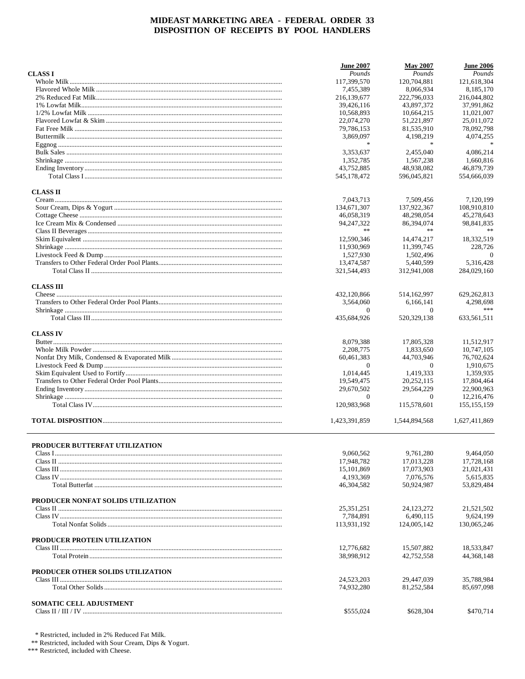|                                    | <b>June 2007</b>         | <b>May 2007</b>          | <b>June 2006</b>           |
|------------------------------------|--------------------------|--------------------------|----------------------------|
| <b>CLASS I</b>                     | Pounds                   | Pounds                   | Pounds                     |
|                                    | 117,399,570              | 120,704,881              | 121,618,304                |
|                                    | 7,455,389                | 8,066,934                | 8,185,170                  |
|                                    | 216,139,677              | 222,796,033              | 216,044,802                |
|                                    | 39,426,116               | 43,897,372               | 37,991,862                 |
|                                    | 10,568,893               | 10,664,215               | 11,021,007                 |
|                                    | 22,074,270               | 51,221,897               | 25,011,072                 |
|                                    | 79,786,153               | 81,535,910               | 78,092,798                 |
|                                    | 3,869,097                | 4,198,219                | 4,074,255                  |
|                                    | $\ast$                   | $\ast$                   |                            |
|                                    | 3,353,637                | 2,455,040                | 4,086,214                  |
|                                    | 1,352,785                | 1,567,238                | 1,660,816                  |
|                                    | 43,752,885               | 48,938,082               | 46,879,739                 |
|                                    | 545,178,472              | 596,045,821              | 554,666,039                |
| <b>CLASS II</b>                    |                          |                          |                            |
|                                    | 7,043,713                | 7,509,456                | 7,120,199                  |
|                                    | 134,671,307              | 137,922,367              | 108,910,810                |
|                                    | 46,058,319               | 48,298,054               | 45,278,643                 |
|                                    | 94, 247, 322             | 86,394,074               | 98,841,835                 |
|                                    | **                       | **                       |                            |
|                                    | 12,590,346               | 14,474,217               | 18,332,519                 |
|                                    | 11.930.969               | 11,399,745               | 228,726                    |
|                                    | 1.527.930                | 1,502,496                | $\Omega$                   |
|                                    | 13,474,587               | 5,440,599                | 5,316,428                  |
|                                    | 321,544,493              | 312.941.008              | 284,029,160                |
|                                    |                          |                          |                            |
| <b>CLASS III</b>                   |                          |                          |                            |
|                                    | 432,120,866              | 514,162,997              | 629, 262, 813              |
|                                    | 3,564,060                | 6,166,141                | 4,298,698                  |
|                                    | $\overline{0}$           | $\theta$                 | ***                        |
|                                    | 435,684,926              | 520,329,138              | 633,561,511                |
| <b>CLASS IV</b>                    |                          |                          |                            |
|                                    | 8,079,388                | 17,805,328               | 11,512,917                 |
|                                    | 2,208,775                | 1,833,650                | 10,747,105                 |
|                                    | 60,461,383               | 44,703,946               | 76,702,624                 |
|                                    | $\Omega$                 | $\Omega$                 | 1,910,675                  |
|                                    | 1,014,445                | 1,419,333                | 1,359,935                  |
|                                    | 19,549,475               | 20,252,115               | 17,804,464                 |
|                                    | 29,670,502               | 29,564,229               | 22,900,963                 |
|                                    | $\Omega$                 | $\theta$                 | 12,216,476                 |
|                                    | 120,983,968              | 115,578,601              | 155, 155, 159              |
|                                    |                          |                          |                            |
|                                    | 1,423,391,859            | 1,544,894,568            | 1,627,411,869              |
|                                    |                          |                          |                            |
| PRODUCER BUTTERFAT UTILIZATION     |                          |                          |                            |
|                                    | 9,060,562                | 9.761.280                | 9,464,050                  |
|                                    | 17,948,782               | 17,013,228               | 17,728,168                 |
|                                    | 15,101,869               | 17,073,903               | 21,021,431                 |
|                                    | 4,193,369                | 7,076,576                | 5,615,835                  |
|                                    | 46,304,582               | 50,924,987               | 53,829,484                 |
| PRODUCER NONFAT SOLIDS UTILIZATION |                          |                          |                            |
|                                    | 25, 351, 251             | 24,123,272               | 21,521,502                 |
|                                    | 7,784,891                | 6,490,115                | 9,624,199                  |
|                                    | 113,931,192              | 124,005,142              | 130,065,246                |
|                                    |                          |                          |                            |
| PRODUCER PROTEIN UTILIZATION       |                          |                          |                            |
|                                    | 12,776,682<br>38,998,912 | 15,507,882<br>42,752,558 | 18,533,847<br>44, 368, 148 |
|                                    |                          |                          |                            |
| PRODUCER OTHER SOLIDS UTILIZATION  |                          |                          |                            |
|                                    | 24,523,203               | 29,447,039               | 35,788,984                 |
|                                    | 74,932,280               | 81,252,584               | 85,697,098                 |
| <b>SOMATIC CELL ADJUSTMENT</b>     |                          |                          |                            |
|                                    | \$555,024                | \$628,304                | \$470,714                  |
|                                    |                          |                          |                            |

 $^\ast$  Restricted, included in 2% Reduced Fat Milk.  $^{\ast\ast}$  Restricted, included with Sour Cream, Dips & Yogurt.

\*\*\* Restricted, included with Cheese.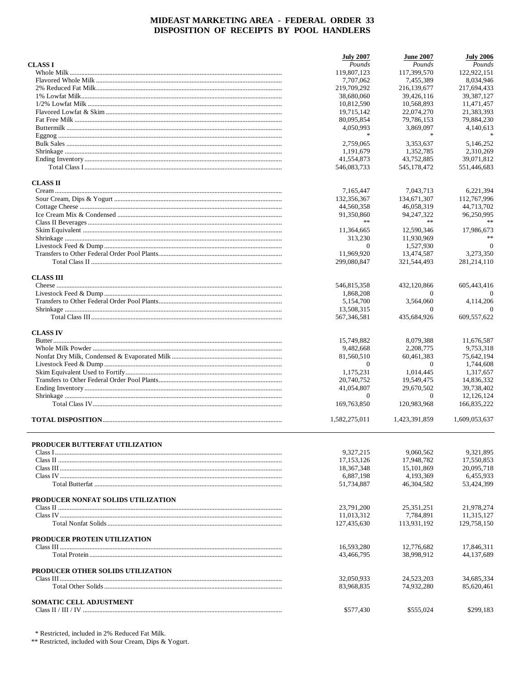|                                    | <b>July 2007</b>         | <b>June 2007</b>         | <b>July 2006</b>         |
|------------------------------------|--------------------------|--------------------------|--------------------------|
| <b>CLASS I</b>                     | Pounds                   | Pounds                   | Pounds                   |
|                                    | 119,807,123              | 117,399,570              | 122,922,151              |
|                                    | 7,707,062                | 7.455.389                | 8,034,946                |
|                                    | 219,709,292              | 216,139,677              | 217,694,433              |
|                                    | 38,680,060               | 39,426,116               | 39, 387, 127             |
|                                    | 10,812,590               | 10,568,893               | 11.471.457               |
|                                    | 19,715,142               | 22,074,270               | 21,383,393               |
|                                    | 80,095,854               | 79,786,153               | 79,884,230               |
|                                    | 4,050,993                | 3,869,097                | 4,140,613                |
|                                    | $\frac{1}{2}$            | $\ast$                   |                          |
|                                    | 2,759,065                | 3,353,637                | 5.146.252                |
|                                    | 1,191,679                | 1,352,785                | 2,310,269                |
|                                    | 41,554,873               | 43,752,885               | 39,071,812               |
|                                    | 546,083,733              | 545,178,472              | 551,446,683              |
| <b>CLASS II</b>                    |                          |                          |                          |
|                                    | 7,165,447                | 7,043,713                | 6,221,394                |
|                                    | 132,356,367              | 134,671,307              | 112,767,996              |
|                                    | 44,560,358               | 46,058,319               | 44,713,702               |
|                                    | 91,350,860               | 94, 247, 322             | 96,250,995               |
|                                    | **                       | **                       |                          |
|                                    | 11,364,665               | 12.590.346               | 17,986,673               |
|                                    | 313,230                  | 11,930,969               | **                       |
|                                    | $\mathbf{0}$             | 1,527,930                | $\Omega$                 |
|                                    | 11,969,920               | 13,474,587               | 3,273,350                |
|                                    | 299,080,847              | 321,544,493              | 281, 214, 110            |
| <b>CLASS III</b>                   |                          |                          |                          |
|                                    | 546,815,358              | 432,120,866              | 605,443,416              |
|                                    | 1,868,208                | $\theta$                 | 0                        |
|                                    | 5,154,700                | 3,564,060                | 4,114,206                |
|                                    | 13,508,315               | $\Omega$                 | $\Omega$                 |
|                                    | 567,346,581              | 435,684,926              | 609,557,622              |
|                                    |                          |                          |                          |
| <b>CLASS IV</b>                    |                          |                          |                          |
|                                    | 15,749,882               | 8,079,388                | 11,676,587               |
|                                    | 9,482,668                | 2,208,775                | 9,753,318                |
|                                    | 81,560,510               | 60,461,383               | 75,642,194               |
|                                    | $\theta$                 | $\theta$                 | 1,744,608                |
|                                    | 1,175,231                | 1,014,445                | 1,317,657                |
|                                    | 20,740,752               | 19,549,475               | 14,836,332               |
|                                    | 41,054,807               | 29,670,502               | 39,738,402               |
|                                    | $\mathbf{0}$             | $\theta$                 | 12,126,124               |
|                                    | 169,763,850              | 120,983,968              | 166,835,222              |
|                                    | 1,582,275,011            | 1,423,391,859            | 1,609,053,637            |
|                                    |                          |                          |                          |
| PRODUCER BUTTERFAT UTILIZATION     |                          |                          |                          |
|                                    | 9.327.215                | 9,060,562                | 9.321.895                |
|                                    | 17,153,126               | 17.948.782               | 17,550,853               |
|                                    | 18, 367, 348             | 15,101,869               | 20,095,718               |
|                                    | 6,887,198                | 4,193,369                | 6,455,933                |
|                                    | 51,734,887               | 46,304,582               | 53,424,399               |
| PRODUCER NONFAT SOLIDS UTILIZATION |                          |                          |                          |
|                                    | 23,791,200               | 25.351.251               | 21,978,274               |
|                                    | 11,013,312               | 7,784,891                | 11.315.127               |
|                                    | 127,435,630              | 113,931,192              | 129,758,150              |
|                                    |                          |                          |                          |
| PRODUCER PROTEIN UTILIZATION       | 16,593,280               | 12,776,682               | 17,846,311               |
|                                    | 43,466,795               | 38,998,912               | 44,137,689               |
|                                    |                          |                          |                          |
| PRODUCER OTHER SOLIDS UTILIZATION  |                          |                          |                          |
|                                    | 32,050,933<br>83,968,835 | 24,523,203<br>74,932,280 | 34,685,334<br>85,620,461 |
|                                    |                          |                          |                          |
| <b>SOMATIC CELL ADJUSTMENT</b>     |                          |                          |                          |
|                                    | \$577,430                | \$555,024                | \$299,183                |

\* Restricted, included in 2% Reduced Fat Milk.

\*\* Restricted, included with Sour Cream, Dips & Yogurt.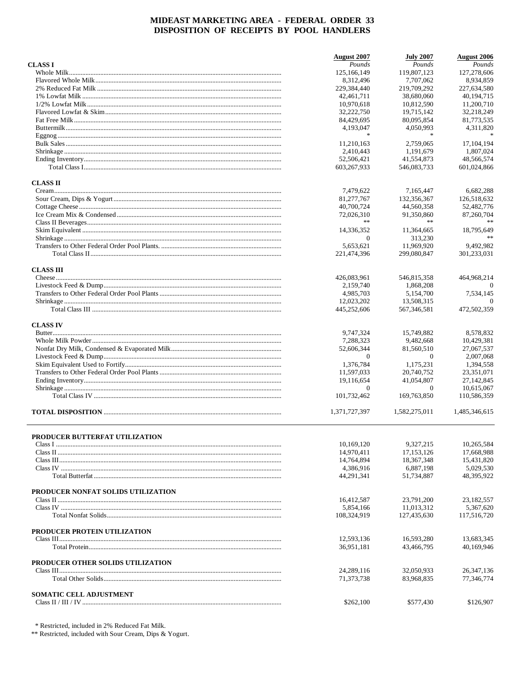|                                    | August 2007    | <b>July 2007</b> | <b>August 2006</b> |
|------------------------------------|----------------|------------------|--------------------|
| <b>CLASS I</b>                     | Pounds         | Pounds           | Pounds             |
|                                    | 125, 166, 149  | 119,807,123      | 127,278,606        |
|                                    | 8,312,496      | 7,707,062        | 8,934,859          |
|                                    | 229,384,440    | 219,709,292      | 227,634,580        |
|                                    | 42,461,711     | 38,680,060       | 40,194,715         |
|                                    | 10,970,618     | 10,812,590       | 11,200,710         |
|                                    | 32,222,750     | 19,715,142       | 32,218,249         |
|                                    | 84,429,695     | 80,095,854       | 81,773,535         |
|                                    | 4,193,047      | 4,050,993        | 4,311,820          |
|                                    | $\ast$         | $\ast$           | $\mathbf{g}$       |
|                                    | 11,210,163     | 2,759,065        | 17, 104, 194       |
|                                    | 2,410,443      | 1,191,679        | 1,807,024          |
|                                    | 52,506,421     | 41,554,873       | 48,566,574         |
|                                    | 603,267,933    | 546,083,733      | 601,024,866        |
| <b>CLASS II</b>                    |                |                  |                    |
|                                    | 7,479,622      | 7,165,447        | 6,682,288          |
|                                    | 81,277,767     | 132,356,367      | 126,518,632        |
|                                    | 40,700,724     | 44,560,358       | 52,482,776         |
|                                    | 72,026,310     | 91,350,860       | 87,260,704         |
|                                    | **             | **               |                    |
|                                    |                |                  | 18,795,649         |
|                                    | 14,336,352     | 11,364,665       | %                  |
|                                    | $\Omega$       | 313,230          |                    |
|                                    | 5,653,621      | 11,969,920       | 9,492,982          |
|                                    | 221,474,396    | 299,080,847      | 301,233,031        |
| <b>CLASS III</b>                   |                |                  |                    |
|                                    | 426,083,961    | 546,815,358      | 464,968,214        |
|                                    | 2,159,740      | 1.868.208        | $\Omega$           |
|                                    | 4.985.703      | 5,154,700        | 7,534,145          |
|                                    | 12,023,202     | 13,508,315       | $\Omega$           |
|                                    | 445,252,606    | 567, 346, 581    | 472,502,359        |
| <b>CLASS IV</b>                    |                |                  |                    |
|                                    | 9,747,324      | 15,749,882       | 8,578,832          |
|                                    | 7,288,323      | 9,482,668        | 10,429,381         |
|                                    | 52,606,344     | 81,560,510       | 27,067,537         |
|                                    | $\Omega$       | $\Omega$         | 2,007,068          |
|                                    | 1,376,784      | 1,175,231        | 1,394,558          |
|                                    | 11,597,033     | 20,740,752       | 23,351,071         |
|                                    | 19,116,654     | 41,054,807       | 27,142,845         |
|                                    | $\overline{0}$ | $\theta$         | 10,615,067         |
|                                    | 101,732,462    | 169,763,850      | 110,586,359        |
|                                    |                |                  |                    |
|                                    | 1,371,727,397  | 1,582,275,011    | 1,485,346,615      |
|                                    |                |                  |                    |
| PRODUCER BUTTERFAT UTILIZATION     | 10,169,120     | 9,327,215        | 10,265,584         |
|                                    | 14,970,411     | 17,153,126       | 17,668,988         |
|                                    |                |                  |                    |
|                                    | 14,764,894     | 18,367,348       | 15,431,820         |
|                                    | 4,386,916      | 6,887,198        | 5,029,530          |
|                                    | 44,291,341     | 51,734,887       | 48,395,922         |
| PRODUCER NONFAT SOLIDS UTILIZATION |                |                  |                    |
|                                    | 16,412,587     | 23,791,200       | 23,182,557         |
|                                    | 5,854,166      | 11,013,312       | 5.367.620          |
|                                    | 108,324,919    | 127,435,630      | 117,516,720        |
| PRODUCER PROTEIN UTILIZATION       |                |                  |                    |
|                                    | 12,593,136     | 16,593,280       | 13,683,345         |
|                                    | 36,951,181     | 43,466,795       | 40,169,946         |
|                                    |                |                  |                    |
| PRODUCER OTHER SOLIDS UTILIZATION  |                |                  |                    |
|                                    | 24,289,116     | 32,050,933       | 26, 347, 136       |
|                                    | 71,373,738     | 83,968,835       | 77,346,774         |
| <b>SOMATIC CELL ADJUSTMENT</b>     |                |                  |                    |
|                                    | \$262,100      | \$577,430        | \$126,907          |
|                                    |                |                  |                    |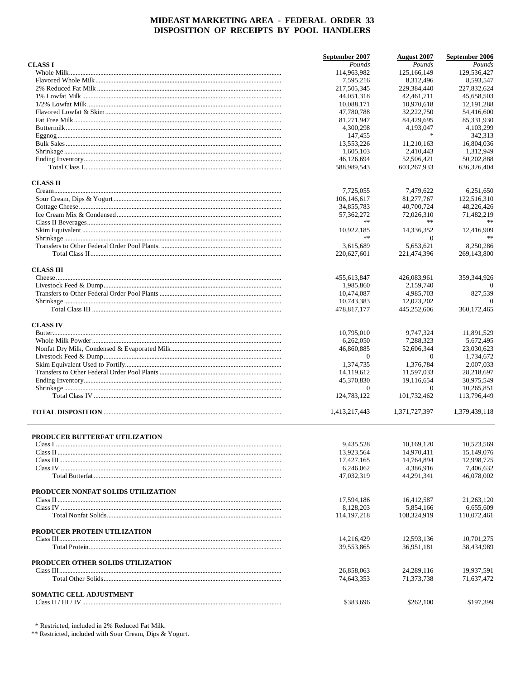|                                    | September 2007            | <b>August 2007</b>         | September 2006              |
|------------------------------------|---------------------------|----------------------------|-----------------------------|
| <b>CLASS I</b>                     | Pounds                    | Pounds                     | Pounds                      |
|                                    | 114,963,982               | 125,166,149                | 129,536,427                 |
|                                    | 7,595,216                 | 8,312,496                  | 8,593,547                   |
|                                    | 217,505,345               | 229,384,440                | 227,832,624                 |
|                                    | 44,051,318                | 42,461,711                 | 45,658,503                  |
|                                    | 10,088,171                | 10,970,618                 | 12, 191, 288                |
|                                    | 47,780,788                | 32,222,750                 | 54,416,600                  |
|                                    | 81,271,947                | 84,429,695                 | 85,331,930                  |
|                                    | 4,300,298                 | 4,193,047<br>$\frac{1}{2}$ | 4,103,299                   |
|                                    | 147,455                   |                            | 342,313                     |
|                                    | 13,553,226                | 11,210,163                 | 16,804,036                  |
|                                    | 1,605,103                 | 2.410.443                  | 1,312,949                   |
|                                    | 46,126,694<br>588,989,543 | 52,506,421<br>603,267,933  | 50,202,888<br>636, 326, 404 |
| <b>CLASS II</b>                    |                           |                            |                             |
|                                    | 7,725,055                 | 7,479,622                  | 6,251,650                   |
|                                    | 106,146,617               | 81,277,767                 | 122,516,310                 |
|                                    | 34,855,783                | 40,700,724                 | 48,226,426                  |
|                                    | 57, 362, 272              | 72,026,310                 | 71,482,219                  |
|                                    | **                        | **                         |                             |
|                                    | 10,922,185                | 14,336,352                 | 12,416,909                  |
|                                    | $\ast$ $\ast$             | $\Omega$                   |                             |
|                                    | 3,615,689                 | 5,653,621                  | 8,250,286                   |
|                                    | 220,627,601               | 221,474,396                | 269,143,800                 |
| <b>CLASS III</b>                   |                           |                            |                             |
|                                    | 455,613,847               | 426,083,961                | 359,344,926                 |
|                                    | 1,985,860                 | 2,159,740                  | $\Omega$                    |
|                                    | 10,474,087                | 4,985,703                  | 827,539                     |
|                                    | 10,743,383                | 12,023,202                 | $\Omega$                    |
|                                    | 478,817,177               | 445,252,606                | 360, 172, 465               |
| <b>CLASS IV</b>                    |                           |                            |                             |
|                                    | 10,795,010                | 9,747,324                  | 11,891,529                  |
|                                    | 6,262,050                 | 7,288,323                  | 5,672,495                   |
|                                    | 46,860,885                | 52,606,344                 | 23,030,623                  |
|                                    | $\mathbf{0}$              | $\Omega$                   | 1,734,672                   |
|                                    | 1,374,735                 | 1,376,784                  | 2,007,033                   |
|                                    | 14,119,612                | 11,597,033                 | 28,218,697                  |
|                                    | 45,370,830                | 19,116,654                 | 30,975,549                  |
|                                    | $\mathbf{0}$              | $\Omega$                   | 10,265,851                  |
|                                    | 124,783,122               | 101,732,462                | 113,796,449                 |
|                                    | 1,413,217,443             | 1.371.727.397              | 1,379,439,118               |
|                                    |                           |                            |                             |
| PRODUCER BUTTERFAT UTILIZATION     | 9.435.528                 | 10,169,120                 | 10,523,569                  |
|                                    | 13,923,564                | 14,970,411                 | 15,149,076                  |
|                                    | 17,427,165                | 14,764,894                 | 12,998,725                  |
|                                    | 6,246,062                 | 4,386,916                  | 7,406,632                   |
|                                    | 47,032,319                | 44,291,341                 | 46,078,002                  |
|                                    |                           |                            |                             |
| PRODUCER NONFAT SOLIDS UTILIZATION |                           |                            |                             |
|                                    | 17,594,186                | 16,412,587                 | 21,263,120                  |
|                                    | 8,128,203                 | 5,854,166                  | 6,655,609                   |
|                                    | 114, 197, 218             | 108,324,919                | 110,072,461                 |
| PRODUCER PROTEIN UTILIZATION       |                           |                            |                             |
|                                    | 14,216,429                | 12,593,136                 | 10,701,275                  |
|                                    | 39,553,865                | 36,951,181                 | 38,434,989                  |
| PRODUCER OTHER SOLIDS UTILIZATION  |                           |                            |                             |
|                                    | 26,858,063                | 24,289,116                 | 19,937,591                  |
|                                    | 74,643,353                | 71,373,738                 | 71,637,472                  |
| SOMATIC CELL ADJUSTMENT            |                           |                            |                             |
| Class II / III / IV                | \$383,696                 | \$262,100                  | \$197,399                   |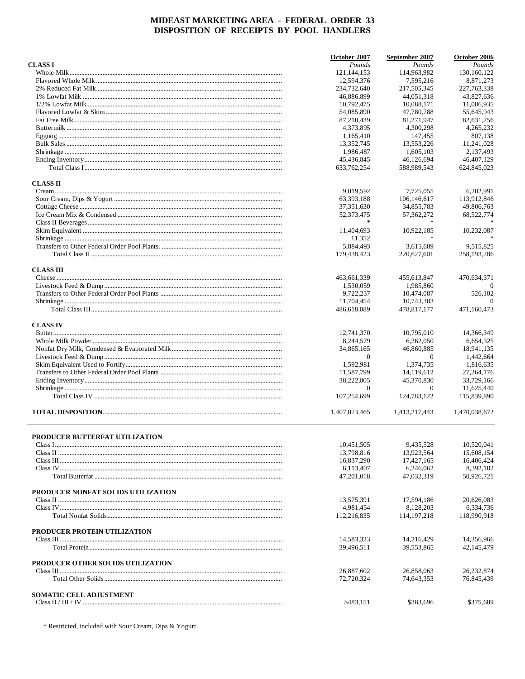|                                    | October 2007              | September 2007            | October 2006              |
|------------------------------------|---------------------------|---------------------------|---------------------------|
| <b>CLASS I</b>                     | Pounds                    | Pounds                    | Pounds                    |
|                                    | 121, 144, 153             | 114,963,982               | 130, 160, 122             |
|                                    | 12,594,376                | 7,595,216                 | 8,871,273                 |
|                                    | 234,732,640               | 217,505,345               | 227, 763, 338             |
|                                    | 46,886,899                | 44,051,318                | 43,827,636                |
|                                    | 10,792,475                | 10,088,171                | 11.086.935                |
|                                    | 54,085,890                | 47,780,788                | 55,645,943                |
|                                    | 87,210,439                | 81,271,947                | 82,631,756                |
|                                    | 4,373,895                 | 4,300,298                 | 4,265,232                 |
|                                    | 1,165,410                 | 147,455                   | 807,138                   |
|                                    | 13,352,745                | 13,553,226                | 11,241,028                |
|                                    | 1.986.487                 | 1,605,103                 | 2,137,493                 |
|                                    | 45,436,845<br>633,762,254 | 46,126,694<br>588,989,543 | 46,407,129<br>624,845,023 |
| <b>CLASS II</b>                    |                           |                           |                           |
|                                    | 9,019,592                 | 7,725,055                 | 6,202,991                 |
|                                    | 63,393,188                | 106,146,617               | 113,912,846               |
|                                    | 37, 351, 630              | 34,855,783                | 49,806,763                |
|                                    | 52,373,475                | 57, 362, 272              | 68,522,774                |
|                                    |                           |                           |                           |
|                                    | 11,404,693                | 10,922,185                | 10,232,087                |
|                                    | 11,352                    |                           |                           |
|                                    | 5,884,493                 | 3,615,689                 | 9.515.825                 |
|                                    | 179,438,423               | 220,627,601               | 258,193,286               |
| <b>CLASS III</b>                   |                           |                           |                           |
|                                    | 463,661,339               | 455,613,847               | 470,634,371               |
|                                    | 1,530,059                 | 1,985,860                 | $\Omega$                  |
|                                    | 9,722,237                 | 10,474,087                | 526,102                   |
|                                    | 11,704,454                | 10,743,383                | $\Omega$                  |
|                                    | 486,618,089               | 478,817,177               | 471,160,473               |
| <b>CLASS IV</b>                    |                           |                           |                           |
|                                    | 12,741,370                | 10,795,010                | 14,366,349                |
|                                    | 8,244,579                 | 6,262,050                 | 6,654,325                 |
|                                    | 34,865,165                | 46,860,885                | 18,941,135                |
|                                    | $\theta$<br>1,592,981     | $\Omega$<br>1,374,735     | 1,442,664<br>1,816,635    |
|                                    | 11,587,799                | 14,119,612                | 27, 264, 176              |
|                                    | 38,222,805                | 45,370,830                | 33,729,166                |
|                                    | $\Omega$                  | $\Omega$                  | 11,625,440                |
|                                    | 107,254,699               | 124,783,122               | 115,839,890               |
|                                    | 1,407,073,465             | 1,413,217,443             | 1,470,038,672             |
|                                    |                           |                           |                           |
| PRODUCER BUTTERFAT UTILIZATION     |                           |                           |                           |
|                                    | 10,451,505                | 9,435,528                 | 10,520,041<br>15,608,154  |
|                                    | 13,798,816                | 13,923,564                |                           |
|                                    | 16,837,290                | 17,427,165                | 16,406,424                |
|                                    | 6,113,407                 | 6,246,062                 | 8,392,102                 |
|                                    | 47,201,018                | 47,032,319                | 50,926,721                |
| PRODUCER NONFAT SOLIDS UTILIZATION |                           |                           |                           |
|                                    | 13,575,391                | 17,594,186                | 20,626,083                |
|                                    | 4,981,454                 | 8,128,203                 | 6,334,736                 |
|                                    | 112,216,835               | 114, 197, 218             | 118,990,918               |
| PRODUCER PROTEIN UTILIZATION       |                           |                           |                           |
|                                    | 14,583,323                | 14,216,429                | 14,356,966                |
|                                    | 39,496,511                | 39,553,865                | 42,145,479                |
| PRODUCER OTHER SOLIDS UTILIZATION  | 26,887,602                | 26,858,063                | 26,232,874                |
|                                    | 72,720,324                | 74,643,353                | 76,845,439                |
| <b>SOMATIC CELL ADJUSTMENT</b>     |                           |                           |                           |
|                                    | \$483,151                 | \$383,696                 | \$375,689                 |

\* Restricted, included with Sour Cream, Dips & Yogurt.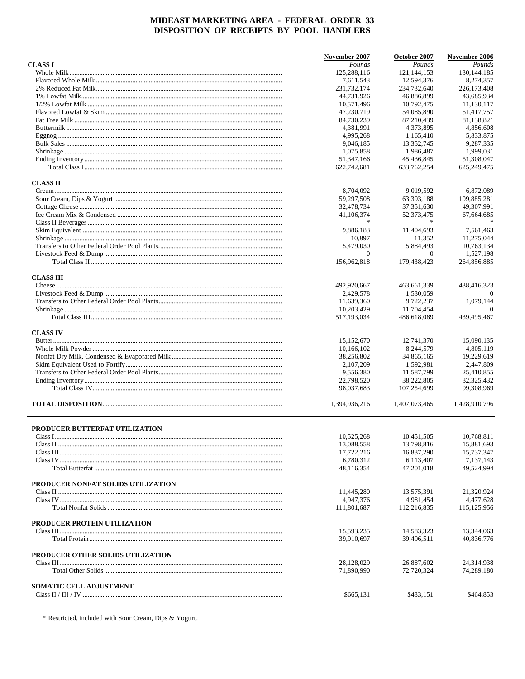|                                    | November 2007            | October 2007             | November 2006            |
|------------------------------------|--------------------------|--------------------------|--------------------------|
| <b>CLASS I</b>                     | Pounds                   | Pounds                   | Pounds                   |
|                                    | 125,288,116              | 121, 144, 153            | 130, 144, 185            |
|                                    | 7,611,543                | 12,594,376               | 8,274,357                |
|                                    | 231,732,174              | 234,732,640              | 226, 173, 408            |
|                                    | 44,731,926               | 46,886,899               | 43.685.934               |
|                                    | 10,571,496               | 10,792,475               | 11.130.117               |
|                                    | 47,230,719               | 54,085,890               | 51,417,757               |
|                                    | 84,730,239               | 87,210,439               | 81,138,821               |
|                                    | 4,381,991                | 4,373,895                | 4,856,608                |
|                                    | 4,995,268                | 1,165,410                | 5,833,875                |
|                                    | 9.046.185                | 13,352,745               | 9,287,335                |
|                                    | 1,075,858                | 1,986,487                | 1,999,031                |
|                                    | 51,347,166               | 45,436,845               | 51,308,047               |
|                                    | 622,742,681              | 633.762.254              | 625,249,475              |
| <b>CLASS II</b>                    |                          |                          |                          |
|                                    | 8,704,092                | 9,019,592                | 6,872,089                |
|                                    | 59,297,508               | 63,393,188               | 109,885,281              |
|                                    | 32,478,734               | 37, 351, 630             | 49,307,991               |
|                                    |                          |                          |                          |
|                                    | 41,106,374               | 52, 373, 475             | 67,664,685               |
|                                    |                          |                          |                          |
|                                    | 9,886,183                | 11,404,693               | 7,561,463                |
|                                    | 10,897                   | 11,352                   | 11,275,044               |
|                                    | 5,479,030                | 5,884,493                | 10,763,134               |
|                                    | $\mathbf{0}$             | $\Omega$                 | 1,527,198                |
|                                    | 156,962,818              | 179,438,423              | 264,856,885              |
| <b>CLASS III</b>                   |                          |                          |                          |
|                                    | 492,920,667              | 463,661,339              | 438,416,323              |
|                                    | 2.429.578                | 1.530.059                | $\Omega$                 |
|                                    | 11,639,360               | 9,722,237                | 1,079,144                |
|                                    | 10,203,429               | 11,704,454               | $\Omega$                 |
|                                    | 517,193,034              | 486,618,089              | 439,495,467              |
| <b>CLASS IV</b>                    |                          |                          |                          |
|                                    | 15,152,670               | 12,741,370               | 15,090,135               |
|                                    | 10,166,102               | 8,244,579                | 4,805,119                |
|                                    | 38,256,802               | 34,865,165               | 19,229,619               |
|                                    | 2,107,209                | 1,592,981                | 2,447,809                |
|                                    | 9,556,380                | 11,587,799               | 25,410,855               |
|                                    | 22,798,520               | 38,222,805               | 32, 325, 432             |
|                                    | 98,037,683               | 107,254,699              | 99,308,969               |
|                                    | 1,394,936,216            | 1,407,073,465            | 1.428.910.796            |
|                                    |                          |                          |                          |
| PRODUCER BUTTERFAT UTILIZATION     |                          |                          |                          |
|                                    | 10,525,268               | 10,451,505               | 10,768,811               |
|                                    | 13,088,558               | 13,798,816               | 15,881,693               |
|                                    | 17,722,216               | 16,837,290               | 15,737,347               |
|                                    | 6,780,312                | 6,113,407                | 7,137,143                |
|                                    | 48,116,354               | 47,201,018               | 49,524,994               |
| PRODUCER NONFAT SOLIDS UTILIZATION |                          |                          |                          |
|                                    | 11,445,280               | 13,575,391               | 21,320,924               |
|                                    | 4.947.376                | 4,981,454                | 4,477,628                |
|                                    | 111,801,687              | 112,216,835              | 115.125.956              |
| PRODUCER PROTEIN UTILIZATION       |                          |                          |                          |
|                                    | 15,593,235               | 14,583,323               | 13,344,063               |
|                                    | 39,910,697               | 39,496,511               | 40,836,776               |
|                                    |                          |                          |                          |
| PRODUCER OTHER SOLIDS UTILIZATION  |                          |                          |                          |
|                                    | 28,128,029<br>71,890,990 | 26,887,602<br>72,720,324 | 24,314,938<br>74,289,180 |
|                                    |                          |                          |                          |
| SOMATIC CELL ADJUSTMENT            |                          |                          |                          |
|                                    | \$665,131                | \$483,151                | \$464,853                |

 $^\ast$  Restricted, included with Sour Cream, Dips & Yogurt.